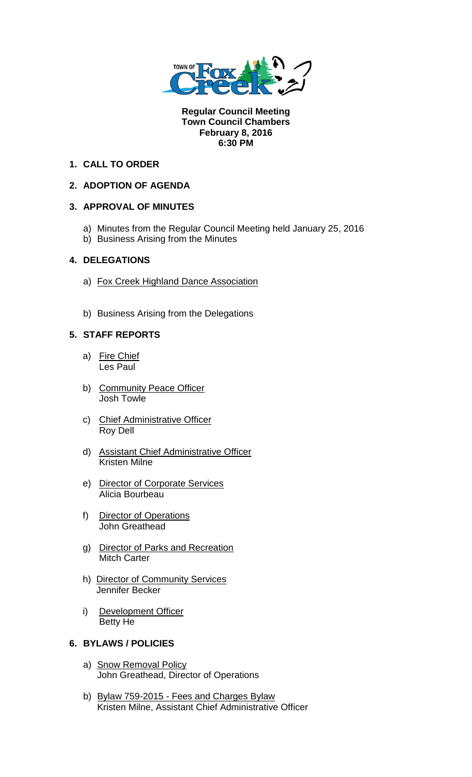

**Regular Council Meeting Town Council Chambers February 8, 2016 6:30 PM** 

## **1. CALL TO ORDER**

# **2. ADOPTION OF AGENDA**

## **3. APPROVAL OF MINUTES**

- a) Minutes from the Regular Council Meeting held January 25, 2016
- b) Business Arising from the Minutes

## **4. DELEGATIONS**

- a) Fox Creek Highland Dance Association
- b) Business Arising from the Delegations

## **5. STAFF REPORTS**

- a) Fire Chief Les Paul
- b) Community Peace Officer Josh Towle
- c) Chief Administrative Officer Roy Dell
- d) Assistant Chief Administrative Officer Kristen Milne
- e) Director of Corporate Services Alicia Bourbeau
- f) Director of Operations John Greathead
- g) Director of Parks and Recreation Mitch Carter
- h) Director of Community Services Jennifer Becker
- i) Development Officer Betty He

### **6. BYLAWS / POLICIES**

- a) Snow Removal Policy John Greathead, Director of Operations
- b) Bylaw 759-2015 Fees and Charges Bylaw Kristen Milne, Assistant Chief Administrative Officer